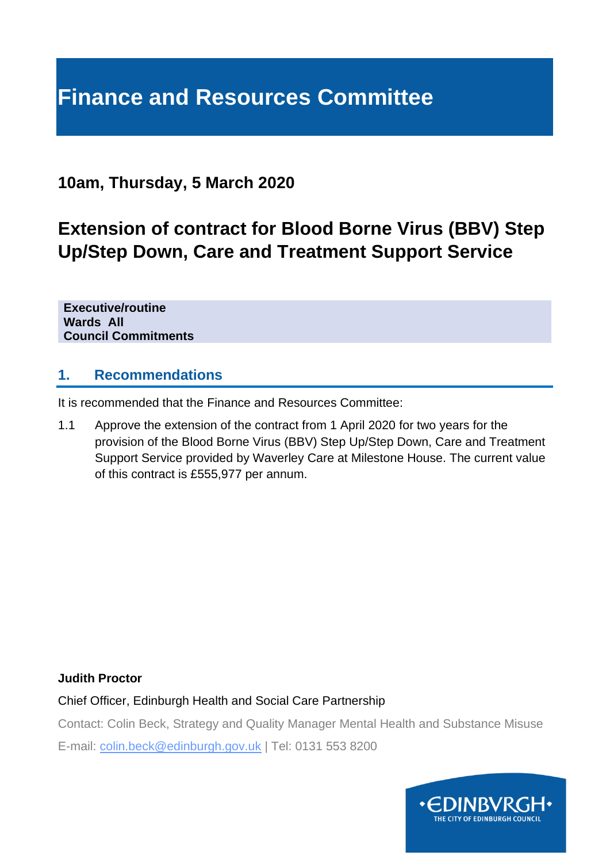# **Finance and Resources Committee**

### **10am, Thursday, 5 March 2020**

## **Extension of contract for Blood Borne Virus (BBV) Step Up/Step Down, Care and Treatment Support Service**

**Executive/routine Wards All Council Commitments**

#### **1. Recommendations**

It is recommended that the Finance and Resources Committee:

1.1 Approve the extension of the contract from 1 April 2020 for two years for the provision of the Blood Borne Virus (BBV) Step Up/Step Down, Care and Treatment Support Service provided by Waverley Care at Milestone House. The current value of this contract is £555,977 per annum.

#### **Judith Proctor**

Chief Officer, Edinburgh Health and Social Care Partnership

Contact: Colin Beck, Strategy and Quality Manager Mental Health and Substance Misuse

E-mail: colin.beck@edinburgh.gov.uk | Tel: 0131 553 8200

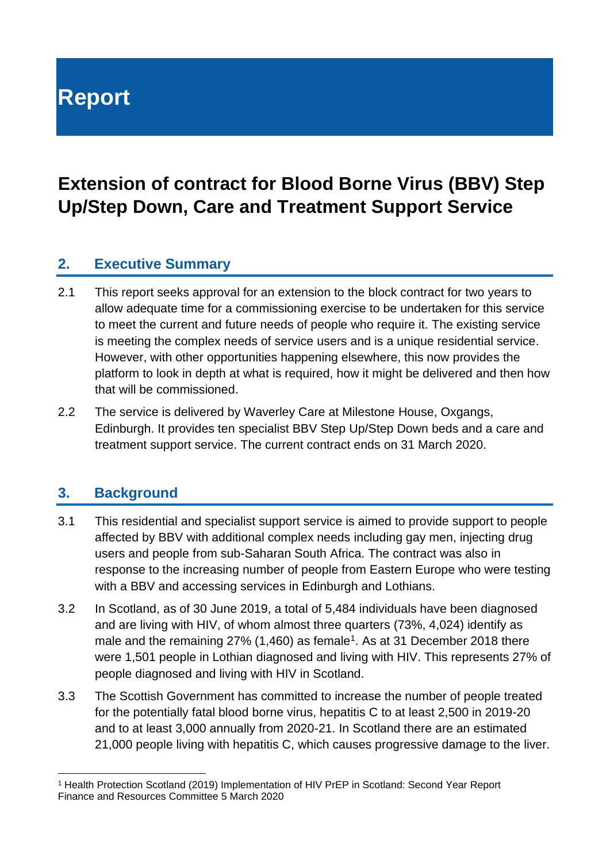# **Report**

## **Extension of contract for Blood Borne Virus (BBV) Step Up/Step Down, Care and Treatment Support Service**

### **2. Executive Summary**

- 2.1 This report seeks approval for an extension to the block contract for two years to allow adequate time for a commissioning exercise to be undertaken for this service to meet the current and future needs of people who require it. The existing service is meeting the complex needs of service users and is a unique residential service. However, with other opportunities happening elsewhere, this now provides the platform to look in depth at what is required, how it might be delivered and then how that will be commissioned.
- 2.2 The service is delivered by Waverley Care at Milestone House, Oxgangs, Edinburgh. It provides ten specialist BBV Step Up/Step Down beds and a care and treatment support service. The current contract ends on 31 March 2020.

#### **3. Background**

- 3.1 This residential and specialist support service is aimed to provide support to people affected by BBV with additional complex needs including gay men, injecting drug users and people from sub-Saharan South Africa. The contract was also in response to the increasing number of people from Eastern Europe who were testing with a BBV and accessing services in Edinburgh and Lothians.
- 3.2 In Scotland, as of 30 June 2019, a total of 5,484 individuals have been diagnosed and are living with HIV, of whom almost three quarters (73%, 4,024) identify as male and the remaining  $27\%$  (1,460) as female<sup>1</sup>. As at 31 December 2018 there were 1,501 people in Lothian diagnosed and living with HIV. This represents 27% of people diagnosed and living with HIV in Scotland.
- 3.3 The Scottish Government has committed to increase the number of people treated for the potentially fatal blood borne virus, hepatitis C to at least 2,500 in 2019-20 and to at least 3,000 annually from 2020-21. In Scotland there are an estimated 21,000 people living with hepatitis C, which causes progressive damage to the liver.

Finance and Resources Committee 5 March 2020 <sup>1</sup> Health Protection Scotland (2019) Implementation of HIV PrEP in Scotland: Second Year Report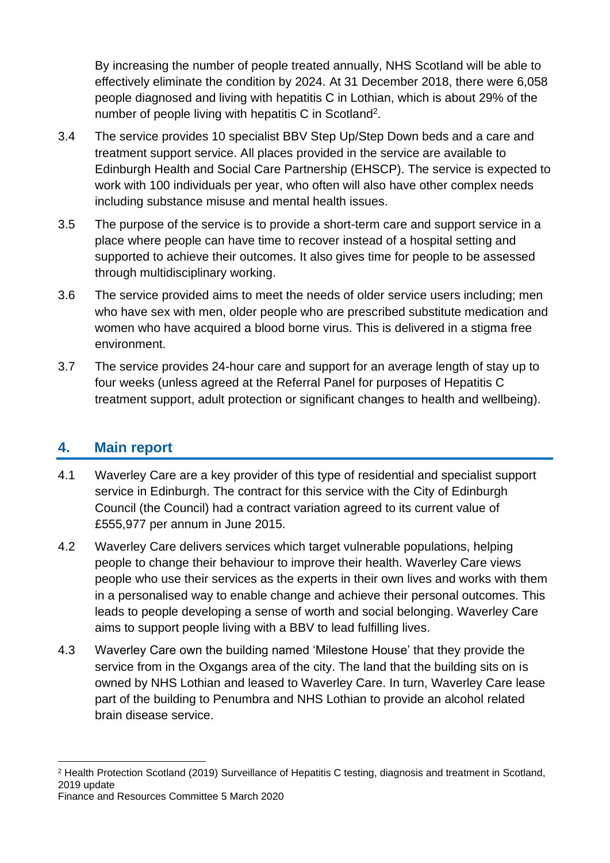By increasing the number of people treated annually, NHS Scotland will be able to effectively eliminate the condition by 2024. At 31 December 2018, there were 6,058 people diagnosed and living with hepatitis C in Lothian, which is about 29% of the number of people living with hepatitis C in Scotland<sup>2</sup>.

- 3.4 The service provides 10 specialist BBV Step Up/Step Down beds and a care and treatment support service. All places provided in the service are available to Edinburgh Health and Social Care Partnership (EHSCP). The service is expected to work with 100 individuals per year, who often will also have other complex needs including substance misuse and mental health issues.
- 3.5 The purpose of the service is to provide a short-term care and support service in a place where people can have time to recover instead of a hospital setting and supported to achieve their outcomes. It also gives time for people to be assessed through multidisciplinary working.
- 3.6 The service provided aims to meet the needs of older service users including; men who have sex with men, older people who are prescribed substitute medication and women who have acquired a blood borne virus. This is delivered in a stigma free environment.
- 3.7 The service provides 24-hour care and support for an average length of stay up to four weeks (unless agreed at the Referral Panel for purposes of Hepatitis C treatment support, adult protection or significant changes to health and wellbeing).

#### **4. Main report**

- 4.1 Waverley Care are a key provider of this type of residential and specialist support service in Edinburgh. The contract for this service with the City of Edinburgh Council (the Council) had a contract variation agreed to its current value of £555,977 per annum in June 2015.
- 4.2 Waverley Care delivers services which target vulnerable populations, helping people to change their behaviour to improve their health. Waverley Care views people who use their services as the experts in their own lives and works with them in a personalised way to enable change and achieve their personal outcomes. This leads to people developing a sense of worth and social belonging. Waverley Care aims to support people living with a BBV to lead fulfilling lives.
- 4.3 Waverley Care own the building named 'Milestone House' that they provide the service from in the Oxgangs area of the city. The land that the building sits on is owned by NHS Lothian and leased to Waverley Care. In turn, Waverley Care lease part of the building to Penumbra and NHS Lothian to provide an alcohol related brain disease service.

Finance and Resources Committee 5 March 2020

<sup>2</sup> Health Protection Scotland (2019) Surveillance of Hepatitis C testing, diagnosis and treatment in Scotland, 2019 update